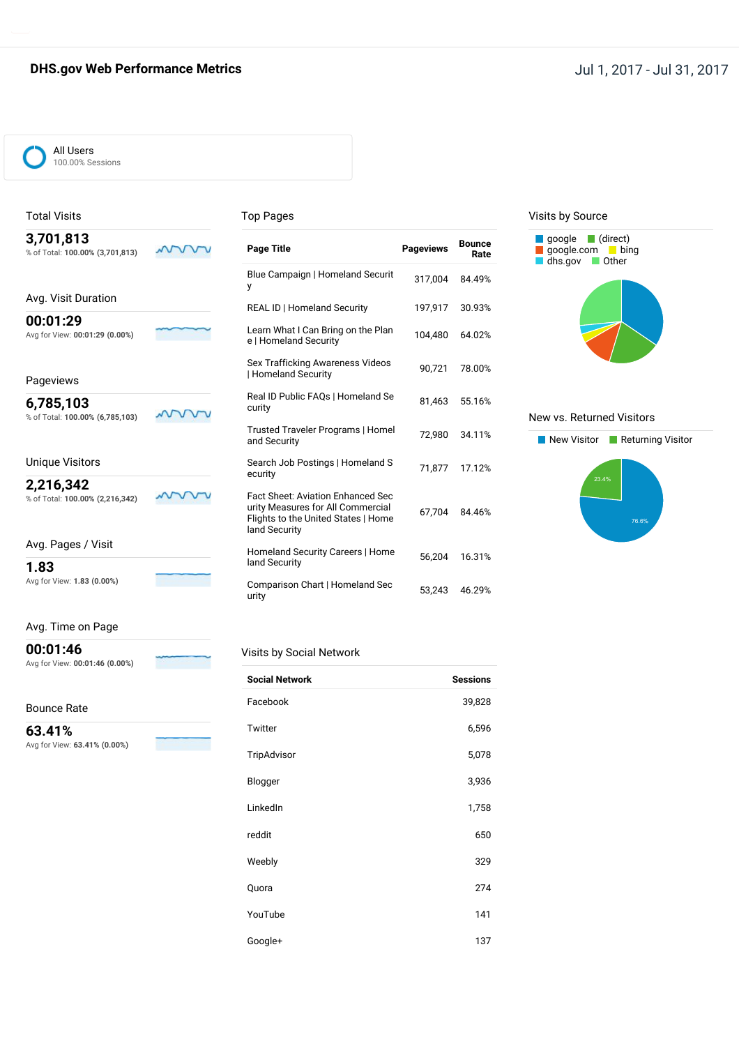### **DHS.gov Web Performance Metrics DHS.gov Web Performance Metrics Jul 1, 2017 - Jul 31, 2017**



## Total Visits **3,701,813**

**00:01:29**

Pageviews **6,785,103**

Unique Visitors **2,216,342**

% of Total: **100.00% (3,701,813)**

Avg. Visit Duration

Avg for View: **00:01:29 (0.00%)**

% of Total: **100.00% (6,785,103)**

% of Total: **100.00% (2,216,342)**

#### Top Pages

| <b>Page Title</b>                                                                                                              | <b>Pageviews</b> | <b>Bounce</b><br>Rate |
|--------------------------------------------------------------------------------------------------------------------------------|------------------|-----------------------|
| Blue Campaign   Homeland Securit<br>y                                                                                          | 317,004          | 84.49%                |
| <b>REAL ID   Homeland Security</b>                                                                                             | 197,917          | 30.93%                |
| Learn What I Can Bring on the Plan<br>e   Homeland Security                                                                    | 104,480          | 64.02%                |
| Sex Trafficking Awareness Videos<br>  Homeland Security                                                                        | 90,721           | 78.00%                |
| Real ID Public FAQs   Homeland Se<br>curity                                                                                    | 81,463           | 55.16%                |
| Trusted Traveler Programs   Homel<br>and Security                                                                              | 72.980           | 34.11%                |
| Search Job Postings   Homeland S<br>ecurity                                                                                    | 71,877           | 17.12%                |
| Fact Sheet: Aviation Enhanced Sec<br>urity Measures for All Commercial<br>Flights to the United States   Home<br>land Security | 67.704           | 84.46%                |
| Homeland Security Careers   Home<br>land Security                                                                              | 56.204           | 16.31%                |
| Comparison Chart   Homeland Sec<br>urity                                                                                       | 53,243           | 46.29%                |

#### Visits by Source



#### New vs. Returned Visitors



#### Avg. Time on Page

Avg for View: **1.83 (0.00%)**

Avg. Pages / Visit

**1.83**

**00:01:46**

Avg for View: **00:01:46 (0.00%)**

#### Bounce Rate

**63.41%** Avg for View: **63.41% (0.00%)**

#### Visits by Social Network

| <b>Social Network</b> | <b>Sessions</b> |
|-----------------------|-----------------|
| Facebook              | 39,828          |
| Twitter               | 6,596           |
| TripAdvisor           | 5,078           |
| Blogger               | 3,936           |
| LinkedIn              | 1,758           |
| reddit                | 650             |
| Weebly                | 329             |
| Quora                 | 274             |
| YouTube               | 141             |
| Google+               | 137             |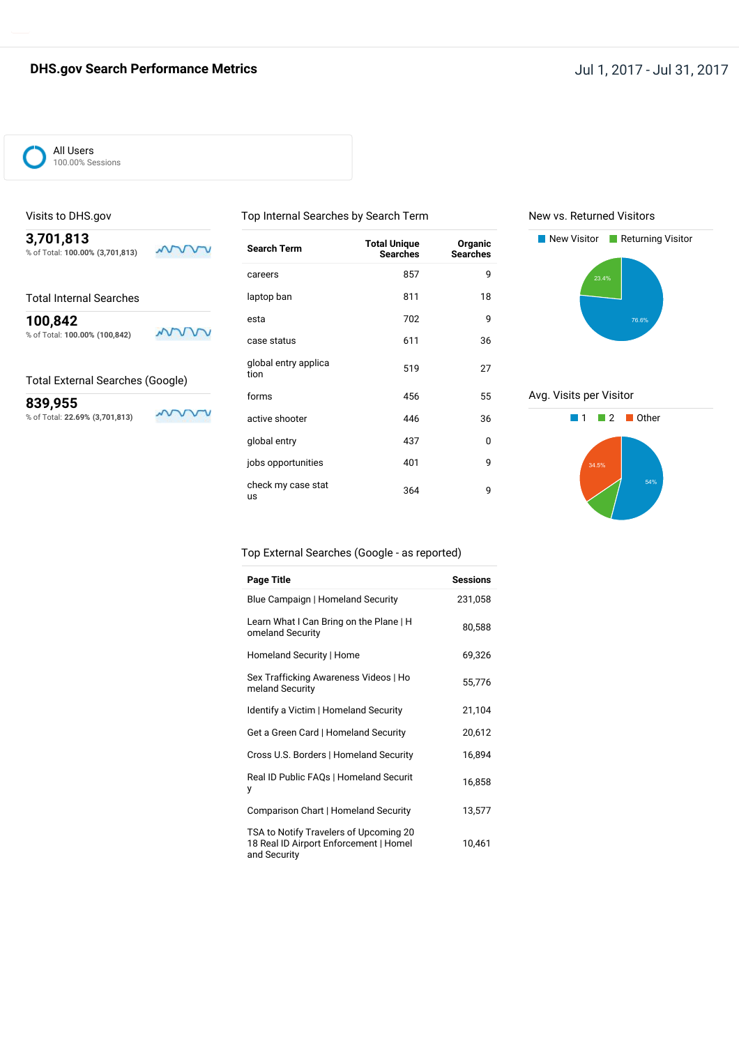## **DHS.gov Search Performance Metrics Jul 1, 2017 - Jul 31, 2017**



#### Visits to DHS.gov

**3,701,813** % of Total: **100.00% (3,701,813)**

**100,842** % of Total: **100.00% (100,842)**

#### Total External Searches (Google)

**839,955** % of Total: **22.69% (3,701,813)**

mww

mnn

www

| <b>Search Term</b>           | <b>Total Unique</b><br><b>Searches</b> | Organic<br><b>Searches</b> |
|------------------------------|----------------------------------------|----------------------------|
| careers                      | 857                                    | 9                          |
| laptop ban                   | 811                                    | 18                         |
| esta                         | 702                                    | 9                          |
| case status                  | 611                                    | 36                         |
| global entry applica<br>tion | 519                                    | 27                         |
| forms                        | 456                                    | 55                         |
| active shooter               | 446                                    | 36                         |
| global entry                 | 437                                    | 0                          |
| jobs opportunities           | 401                                    | 9                          |
| check my case stat<br>us     | 364                                    | 9                          |

Top Internal Searches by Search Term

#### New vs. Returned Visitors



#### Avg. Visits per Visitor



#### Top External Searches (Google - as reported)

| <b>Page Title</b>                                                                                | <b>Sessions</b> |
|--------------------------------------------------------------------------------------------------|-----------------|
| Blue Campaign   Homeland Security                                                                | 231,058         |
| Learn What I Can Bring on the Plane   H<br>omeland Security                                      | 80,588          |
| Homeland Security   Home                                                                         | 69,326          |
| Sex Trafficking Awareness Videos   Ho<br>meland Security                                         | 55,776          |
| Identify a Victim   Homeland Security                                                            | 21,104          |
| Get a Green Card   Homeland Security                                                             | 20,612          |
| Cross U.S. Borders   Homeland Security                                                           | 16,894          |
| Real ID Public FAQs   Homeland Securit<br>у                                                      | 16,858          |
| Comparison Chart   Homeland Security                                                             | 13,577          |
| TSA to Notify Travelers of Upcoming 20<br>18 Real ID Airport Enforcement   Homel<br>and Security | 10,461          |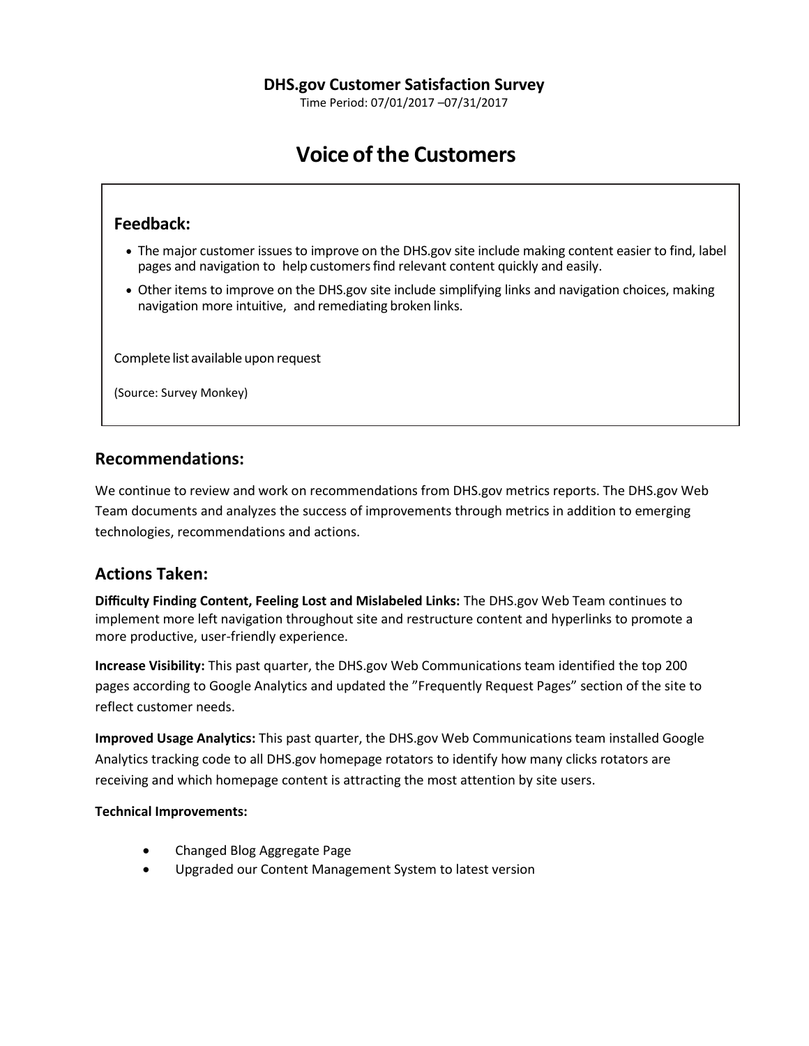Time Period: 07/01/2017 –07/31/2017

# **Voice of the Customers**

## **Feedback:**

- The major customer issues to improve on the DHS.gov site include making content easier to find, label pages and navigation to help customers find relevant content quickly and easily.
- Other items to improve on the DHS.gov site include simplifying links and navigation choices, making navigation more intuitive, and remediating broken links.

Complete list available upon request

(Source: Survey Monkey)

## **Recommendations:**

We continue to review and work on recommendations from DHS.gov metrics reports. The DHS.gov Web Team documents and analyzes the success of improvements through metrics in addition to emerging technologies, recommendations and actions.

## **Actions Taken:**

**Difficulty Finding Content, Feeling Lost and Mislabeled Links:** The DHS.gov Web Team continues to implement more left navigation throughout site and restructure content and hyperlinks to promote a more productive, user-friendly experience.

**Increase Visibility:** This past quarter, the DHS.gov Web Communications team identified the top 200 pages according to Google Analytics and updated the "Frequently Request Pages" section of the site to reflect customer needs.

**Improved Usage Analytics:** This past quarter, the DHS.gov Web Communications team installed Google Analytics tracking code to all DHS.gov homepage rotators to identify how many clicks rotators are receiving and which homepage content is attracting the most attention by site users.

### **Technical Improvements:**

- Changed Blog Aggregate Page
- Upgraded our Content Management System to latest version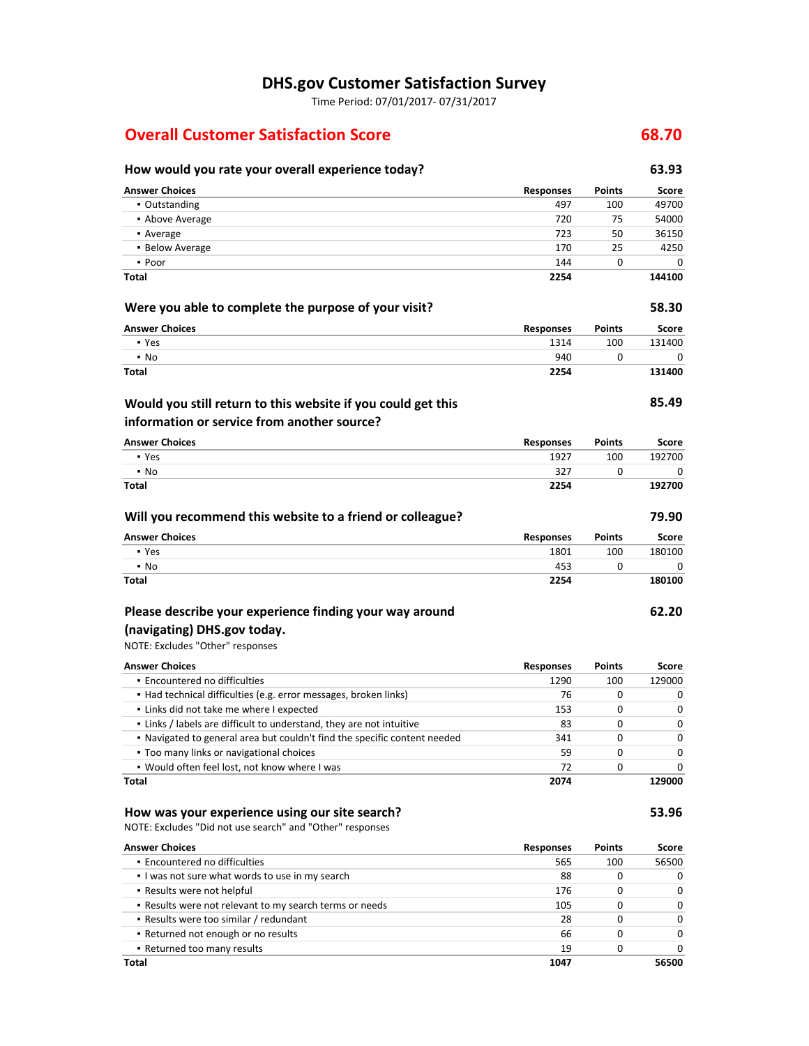## **DHS.gov Customer Satisfaction Survey**

Time Period: 07/01/2017- 07/31/2017

## **Overall Customer Satisfaction Score 68.70**

## **How would you rate your overall experience today? 63.93**

| <b>Answer Choices</b>                                                                                       | <b>Responses</b> | Points        | Score        |
|-------------------------------------------------------------------------------------------------------------|------------------|---------------|--------------|
| • Outstanding                                                                                               | 497              | 100           | 49700        |
| • Above Average                                                                                             | 720              | 75            | 54000        |
| • Average                                                                                                   | 723              | 50            | 36150        |
| • Below Average                                                                                             | 170              | 25            | 4250         |
| • Poor                                                                                                      | 144              | 0             | 0            |
| Total                                                                                                       | 2254             |               | 144100       |
| Were you able to complete the purpose of your visit?                                                        |                  |               | 58.30        |
| <b>Answer Choices</b>                                                                                       | <b>Responses</b> | Points        | Score        |
| • Yes                                                                                                       | 1314             | 100           | 131400       |
| $\blacksquare$ No                                                                                           | 940              | 0             | 0            |
| <b>Total</b>                                                                                                | 2254             |               | 131400       |
| Would you still return to this website if you could get this<br>information or service from another source? |                  |               | 85.49        |
| <b>Answer Choices</b>                                                                                       | <b>Responses</b> | Points        | Score        |
| • Yes                                                                                                       | 1927             | 100           | 192700       |
| $\cdot$ No                                                                                                  | 327              | 0             |              |
| Total                                                                                                       | 2254             |               | 192700       |
| Will you recommend this website to a friend or colleague?                                                   |                  |               | 79.90        |
| <b>Answer Choices</b>                                                                                       | <b>Responses</b> | <b>Points</b> | <b>Score</b> |
| • Yes                                                                                                       | 1801             | 100           | 180100       |
| $\cdot$ No                                                                                                  | 453              | 0             | 0            |
| Total                                                                                                       | 2254             |               | 180100       |
| Please describe your experience finding your way around                                                     |                  |               | 62.20        |
| (navigating) DHS.gov today.                                                                                 |                  |               |              |
| NOTE: Excludes "Other" responses                                                                            |                  |               |              |
|                                                                                                             |                  |               |              |
| <b>Answer Choices</b>                                                                                       | <b>Responses</b> | Points        | Score        |
| • Encountered no difficulties<br>· Had technical difficulties (e.g. error messages, broken links)           | 1290<br>76       | 100<br>0      | 129000<br>0  |
| . Links did not take me where I expected                                                                    | 153              | 0             | 0            |
| . Links / labels are difficult to understand, they are not intuitive                                        | 83               | 0             | 0            |
| . Navigated to general area but couldn't find the specific content needed                                   | 341              | 0             | 0            |
| . Too many links or navigational choices                                                                    | 59               | 0             | 0            |
| . Would often feel lost, not know where I was                                                               | 72               | 0             | 0            |
| Total                                                                                                       | 2074             |               | 129000       |
| How was your experience using our site search?                                                              |                  |               | 53.96        |
| NOTE: Excludes "Did not use search" and "Other" responses                                                   |                  |               |              |
| <b>Answer Choices</b>                                                                                       | <b>Responses</b> | Points        | Score        |
| · Encountered no difficulties                                                                               | 565              | 100           | 56500        |
| . I was not sure what words to use in my search                                                             | 88               | 0             | 0            |
| . Results were not helpful                                                                                  | 176              | 0             | 0            |
| . Results were not relevant to my search terms or needs                                                     | 105              | 0             | 0            |
| - Results were too similar / redundant                                                                      | 28               | 0             | 0            |

▪ Returned not enough or no results 66 0 0 ▪ Returned too many results 19 0 0